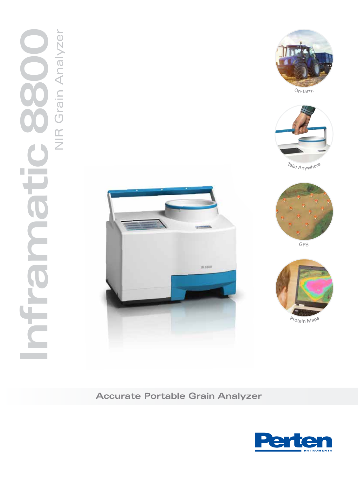# NIR Grain Analyzer **Inframatic 8800** NIR Grain Analyzer E ÿ Ĥ.





On-farm



Take Anywhere



**GPS** 



Protein Map<sup>s</sup>

**Accurate Portable Grain Analyzer**

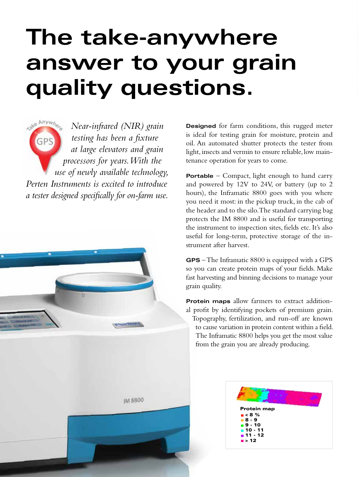### **The take-anywhere answer to your grain quality questions.**

**Cake Anywy** *Near-infrared (NIR) grain testing has been a fixture*  GP: *at large elevators and grain processors for years. With the use of newly available technology, Perten Instruments is excited to introduce a tester designed specifically for on-farm use.*



**IM 8800** 

**Designed** for farm conditions, this rugged meter is ideal for testing grain for moisture, protein and oil. An automated shutter protects the tester from light, insects and vermin to ensure reliable, low maintenance operation for years to come.

**Portable** – Compact, light enough to hand carry and powered by 12V to 24V, or battery (up to 2 hours), the Inframatic 8800 goes with you where you need it most: in the pickup truck, in the cab of the header and to the silo. The standard carrying bag protects the IM 8800 and is useful for transporting the instrument to inspection sites, fields etc. It's also useful for long-term, protective storage of the instrument after harvest.

**GPS** – The Inframatic 8800 is equipped with a GPS so you can create protein maps of your fields. Make fast harvesting and binning decisions to manage your grain quality.

**Protein maps** allow farmers to extract additional profit by identifying pockets of premium grain. Topography, fertilization, and run-off are known to cause variation in protein content within a field. The Inframatic 8800 helps you get the most value from the grain you are already producing.

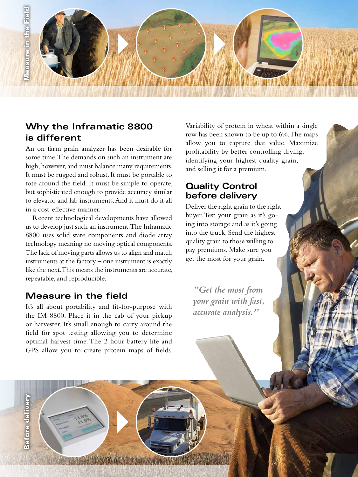

#### **Why the Inframatic 8800 is different**

An on farm grain analyzer has been desirable for some time. The demands on such an instrument are high, however, and must balance many requirements. It must be rugged and robust. It must be portable to tote around the field. It must be simple to operate, but sophisticated enough to provide accuracy similar to elevator and lab instruments. And it must do it all in a cost-effective manner.

Recent technological developments have allowed us to develop just such an instrument. The Inframatic 8800 uses solid state components and diode array technology meaning no moving optical components. The lack of moving parts allows us to align and match instruments at the factory – one instrument is exactly like the next. This means the instruments are accurate, repeatable, and reproducible.

#### **Measure in the field**

Before delivery

**Before delivery** 

It's all about portability and fit-for-purpose with the IM 8800. Place it in the cab of your pickup or harvester. It's small enough to carry around the field for spot testing allowing you to determine optimal harvest time. The 2 hour battery life and GPS allow you to create protein maps of fields.

Variability of protein in wheat within a single row has been shown to be up to 6%. The maps allow you to capture that value. Maximize profitability by better controlling drying, identifying your highest quality grain, and selling it for a premium.

#### **Quality Control before delivery**

Deliver the right grain to the right buyer. Test your grain as it's going into storage and as it's going into the truck. Send the highest quality grain to those willing to pay premiums. Make sure you get the most for your grain.

*"Get the most from your grain with fast, accurate analysis."*